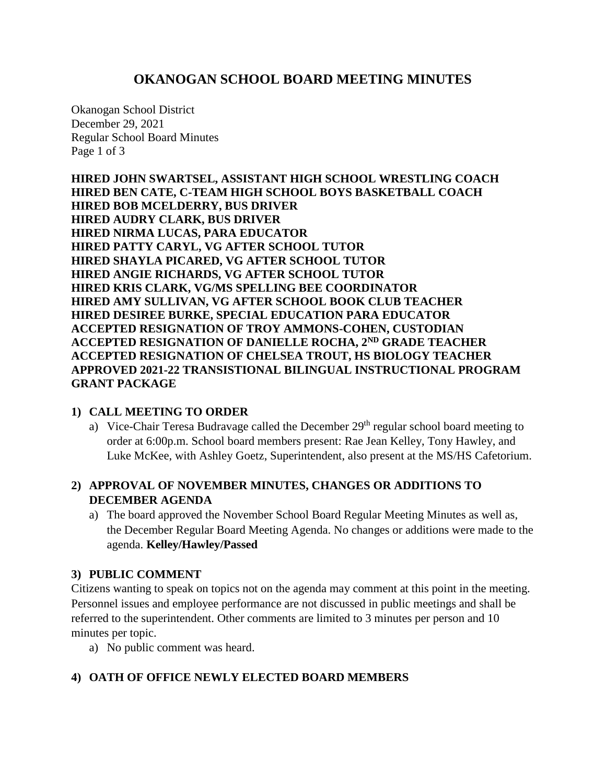# **OKANOGAN SCHOOL BOARD MEETING MINUTES**

Okanogan School District December 29, 2021 Regular School Board Minutes Page 1 of 3

**HIRED JOHN SWARTSEL, ASSISTANT HIGH SCHOOL WRESTLING COACH HIRED BEN CATE, C-TEAM HIGH SCHOOL BOYS BASKETBALL COACH HIRED BOB MCELDERRY, BUS DRIVER HIRED AUDRY CLARK, BUS DRIVER HIRED NIRMA LUCAS, PARA EDUCATOR HIRED PATTY CARYL, VG AFTER SCHOOL TUTOR HIRED SHAYLA PICARED, VG AFTER SCHOOL TUTOR HIRED ANGIE RICHARDS, VG AFTER SCHOOL TUTOR HIRED KRIS CLARK, VG/MS SPELLING BEE COORDINATOR HIRED AMY SULLIVAN, VG AFTER SCHOOL BOOK CLUB TEACHER HIRED DESIREE BURKE, SPECIAL EDUCATION PARA EDUCATOR ACCEPTED RESIGNATION OF TROY AMMONS-COHEN, CUSTODIAN ACCEPTED RESIGNATION OF DANIELLE ROCHA, 2ND GRADE TEACHER ACCEPTED RESIGNATION OF CHELSEA TROUT, HS BIOLOGY TEACHER APPROVED 2021-22 TRANSISTIONAL BILINGUAL INSTRUCTIONAL PROGRAM GRANT PACKAGE**

#### **1) CALL MEETING TO ORDER**

a) Vice-Chair Teresa Budravage called the December  $29<sup>th</sup>$  regular school board meeting to order at 6:00p.m. School board members present: Rae Jean Kelley, Tony Hawley, and Luke McKee, with Ashley Goetz, Superintendent, also present at the MS/HS Cafetorium.

# **2) APPROVAL OF NOVEMBER MINUTES, CHANGES OR ADDITIONS TO DECEMBER AGENDA**

a) The board approved the November School Board Regular Meeting Minutes as well as, the December Regular Board Meeting Agenda. No changes or additions were made to the agenda. **Kelley/Hawley/Passed**

# **3) PUBLIC COMMENT**

Citizens wanting to speak on topics not on the agenda may comment at this point in the meeting. Personnel issues and employee performance are not discussed in public meetings and shall be referred to the superintendent. Other comments are limited to 3 minutes per person and 10 minutes per topic.

a) No public comment was heard.

# **4) OATH OF OFFICE NEWLY ELECTED BOARD MEMBERS**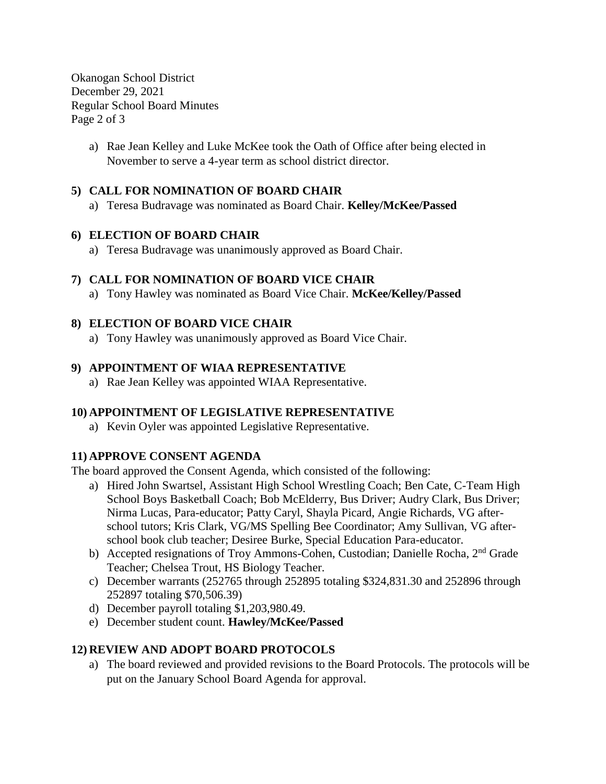Okanogan School District December 29, 2021 Regular School Board Minutes Page 2 of 3

> a) Rae Jean Kelley and Luke McKee took the Oath of Office after being elected in November to serve a 4-year term as school district director.

### **5) CALL FOR NOMINATION OF BOARD CHAIR**

a) Teresa Budravage was nominated as Board Chair. **Kelley/McKee/Passed**

#### **6) ELECTION OF BOARD CHAIR**

a) Teresa Budravage was unanimously approved as Board Chair.

#### **7) CALL FOR NOMINATION OF BOARD VICE CHAIR**

a) Tony Hawley was nominated as Board Vice Chair. **McKee/Kelley/Passed**

#### **8) ELECTION OF BOARD VICE CHAIR**

a) Tony Hawley was unanimously approved as Board Vice Chair.

#### **9) APPOINTMENT OF WIAA REPRESENTATIVE**

a) Rae Jean Kelley was appointed WIAA Representative.

#### **10) APPOINTMENT OF LEGISLATIVE REPRESENTATIVE**

a) Kevin Oyler was appointed Legislative Representative.

#### **11) APPROVE CONSENT AGENDA**

The board approved the Consent Agenda, which consisted of the following:

- a) Hired John Swartsel, Assistant High School Wrestling Coach; Ben Cate, C-Team High School Boys Basketball Coach; Bob McElderry, Bus Driver; Audry Clark, Bus Driver; Nirma Lucas, Para-educator; Patty Caryl, Shayla Picard, Angie Richards, VG afterschool tutors; Kris Clark, VG/MS Spelling Bee Coordinator; Amy Sullivan, VG afterschool book club teacher; Desiree Burke, Special Education Para-educator.
- b) Accepted resignations of Troy Ammons-Cohen, Custodian; Danielle Rocha, 2<sup>nd</sup> Grade Teacher; Chelsea Trout, HS Biology Teacher.
- c) December warrants (252765 through 252895 totaling \$324,831.30 and 252896 through 252897 totaling \$70,506.39)
- d) December payroll totaling \$1,203,980.49.
- e) December student count. **Hawley/McKee/Passed**

#### **12) REVIEW AND ADOPT BOARD PROTOCOLS**

a) The board reviewed and provided revisions to the Board Protocols. The protocols will be put on the January School Board Agenda for approval.